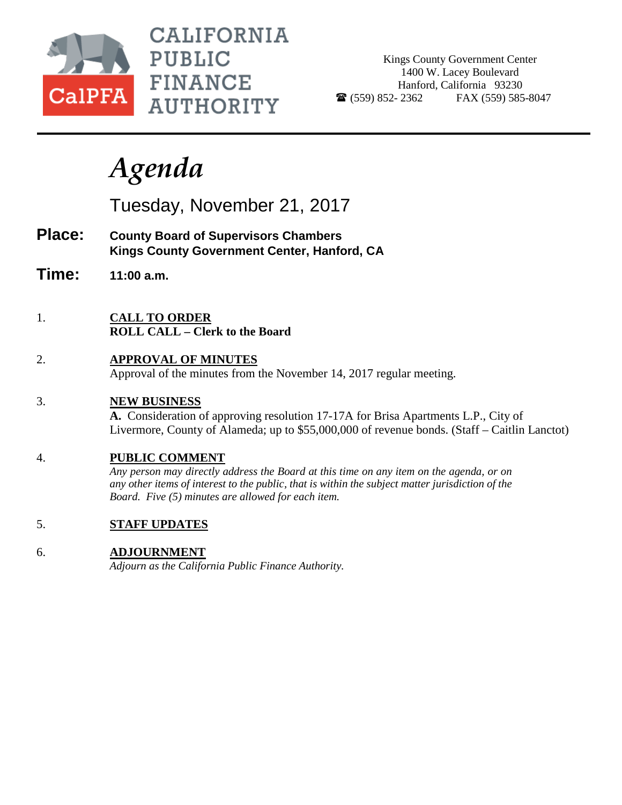

**CALIFORNIA PUBLIC FINANCE AUTHORITY** 

Kings County Government Center 1400 W. Lacey Boulevard Hanford, California 93230  $\bullet$  (559) 852-2362 FAX (559) 585-8047

## *Agenda*

Tuesday, November 21, 2017

- **Place: County Board of Supervisors Chambers Kings County Government Center, Hanford, CA**
- **Time: 11:00 a.m.**
- 1. **CALL TO ORDER ROLL CALL – Clerk to the Board**
- 2. **APPROVAL OF MINUTES** Approval of the minutes from the November 14, 2017 regular meeting.
- 3. **NEW BUSINESS**

**A.** Consideration of approving resolution 17-17A for Brisa Apartments L.P., City of Livermore, County of Alameda; up to \$55,000,000 of revenue bonds. (Staff – Caitlin Lanctot)

## 4. **PUBLIC COMMENT**

*Any person may directly address the Board at this time on any item on the agenda, or on any other items of interest to the public, that is within the subject matter jurisdiction of the Board. Five (5) minutes are allowed for each item.*

5. **STAFF UPDATES**

## 6. **ADJOURNMENT**

*Adjourn as the California Public Finance Authority.*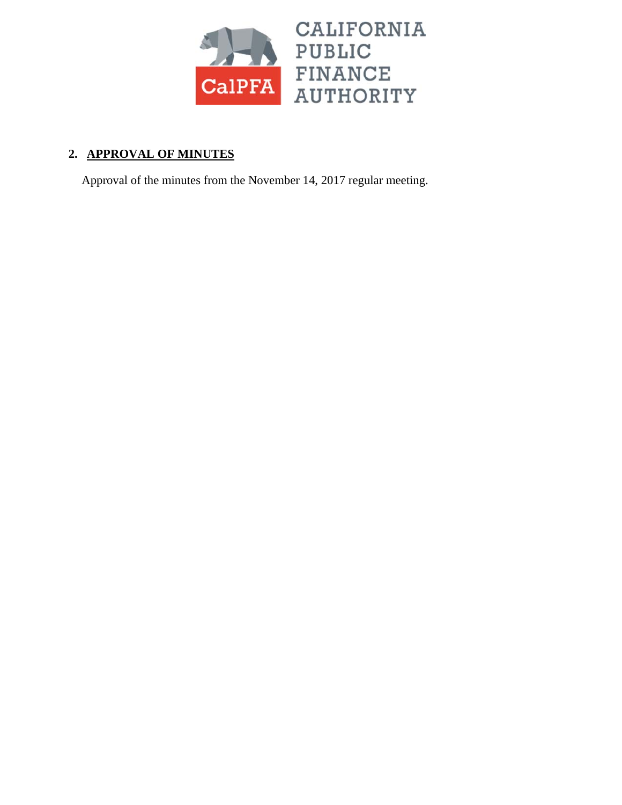

## **2. APPROVAL OF MINUTES**

Approval of the minutes from the November 14, 2017 regular meeting.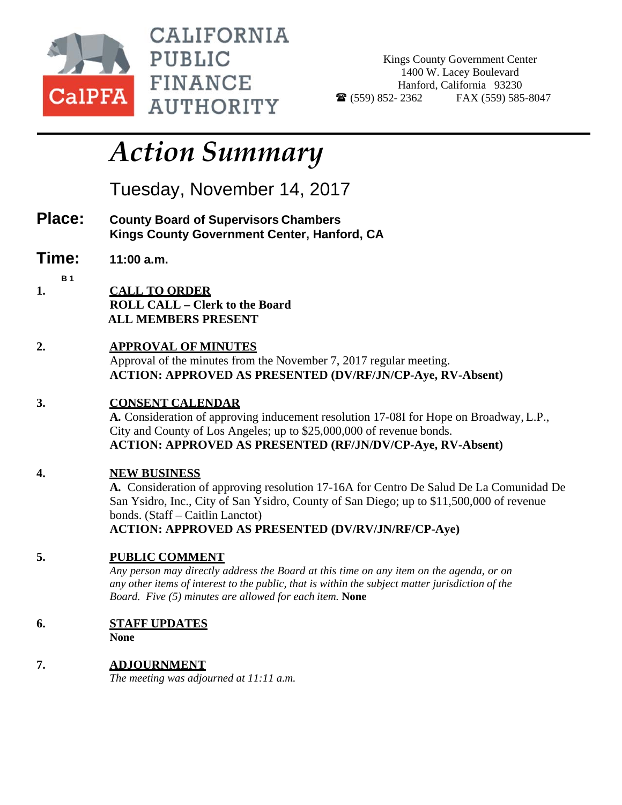

CALIFORNIA PUBLIC **FINANCE AUTHORITY** 

Kings County Government Center 1400 W. Lacey Boulevard Hanford, California 93230  $\bullet$  (559) 852- 2362 FAX (559) 585-8047

# *Action Summary*

Tuesday, November 14, 2017

- **Place: County Board of Supervisors Chambers Kings County Government Center, Hanford, CA**
- **Time: 11:00 a.m.**
- **B 1 1. CALL TO ORDER ROLL CALL – Clerk to the Board** 
	- **ALL MEMBERS PRESENT**
- **2. APPROVAL OF MINUTES**

Approval of the minutes from the November 7, 2017 regular meeting. **ACTION: APPROVED AS PRESENTED (DV/RF/JN/CP-Aye, RV-Absent)** 

## **3. CONSENT CALENDAR**

**A.** Consideration of approving inducement resolution 17-08I for Hope on Broadway, L.P., City and County of Los Angeles; up to \$25,000,000 of revenue bonds. **ACTION: APPROVED AS PRESENTED (RF/JN/DV/CP-Aye, RV-Absent)** 

## **4. NEW BUSINESS**

**A.** Consideration of approving resolution 17-16A for Centro De Salud De La Comunidad De San Ysidro, Inc., City of San Ysidro, County of San Diego; up to \$11,500,000 of revenue bonds. (Staff – Caitlin Lanctot) **ACTION: APPROVED AS PRESENTED (DV/RV/JN/RF/CP-Aye)** 

## **5. PUBLIC COMMENT**

*Any person may directly address the Board at this time on any item on the agenda, or on any other items of interest to the public, that is within the subject matter jurisdiction of the Board. Five (5) minutes are allowed for each item.* **None** 

## **6. STAFF UPDATES**

 **None** 

**7. ADJOURNMENT**  *The meeting was adjourned at 11:11 a.m.*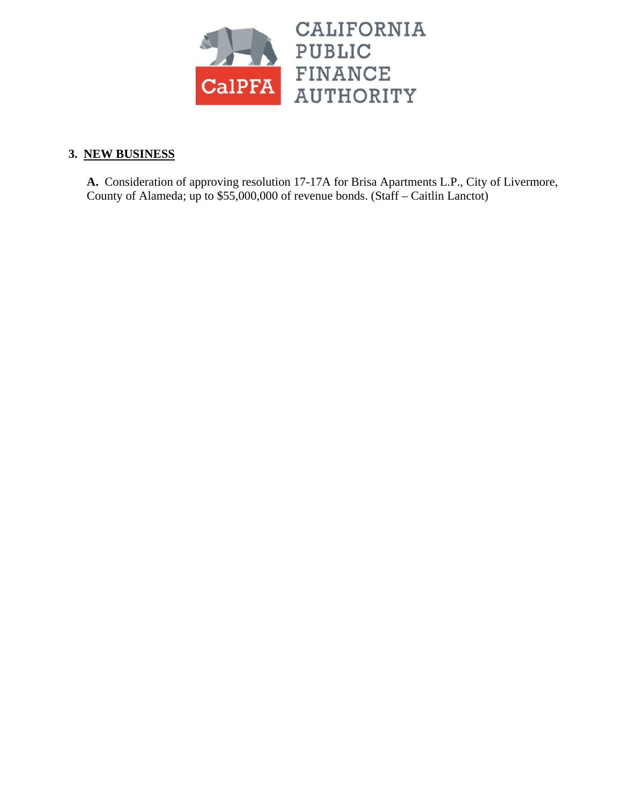

## **3. NEW BUSINESS**

**A.** Consideration of approving resolution 17-17A for Brisa Apartments L.P., City of Livermore, County of Alameda; up to \$55,000,000 of revenue bonds. (Staff – Caitlin Lanctot)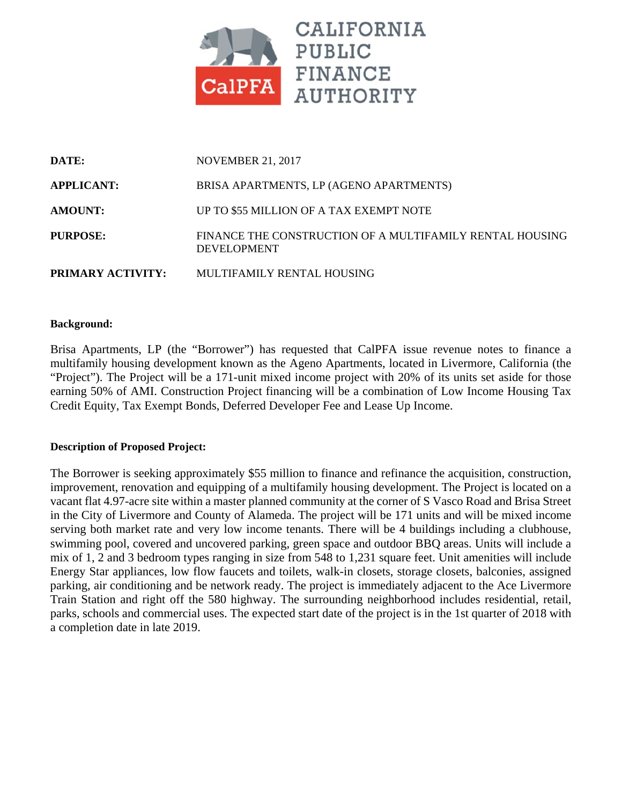

| DATE:             | <b>NOVEMBER 21, 2017</b>                                                       |  |
|-------------------|--------------------------------------------------------------------------------|--|
| <b>APPLICANT:</b> | BRISA APARTMENTS, LP (AGENO APARTMENTS)                                        |  |
| <b>AMOUNT:</b>    | UP TO \$55 MILLION OF A TAX EXEMPT NOTE                                        |  |
| PURPOSE:          | FINANCE THE CONSTRUCTION OF A MULTIFAMILY RENTAL HOUSING<br><b>DEVELOPMENT</b> |  |
| PRIMARY ACTIVITY: | MULTIFAMILY RENTAL HOUSING                                                     |  |

#### **Background:**

Brisa Apartments, LP (the "Borrower") has requested that CalPFA issue revenue notes to finance a multifamily housing development known as the Ageno Apartments, located in Livermore, California (the "Project"). The Project will be a 171-unit mixed income project with 20% of its units set aside for those earning 50% of AMI. Construction Project financing will be a combination of Low Income Housing Tax Credit Equity, Tax Exempt Bonds, Deferred Developer Fee and Lease Up Income.

#### **Description of Proposed Project:**

The Borrower is seeking approximately \$55 million to finance and refinance the acquisition, construction, improvement, renovation and equipping of a multifamily housing development. The Project is located on a vacant flat 4.97-acre site within a master planned community at the corner of S Vasco Road and Brisa Street in the City of Livermore and County of Alameda. The project will be 171 units and will be mixed income serving both market rate and very low income tenants. There will be 4 buildings including a clubhouse, swimming pool, covered and uncovered parking, green space and outdoor BBQ areas. Units will include a mix of 1, 2 and 3 bedroom types ranging in size from 548 to 1,231 square feet. Unit amenities will include Energy Star appliances, low flow faucets and toilets, walk-in closets, storage closets, balconies, assigned parking, air conditioning and be network ready. The project is immediately adjacent to the Ace Livermore Train Station and right off the 580 highway. The surrounding neighborhood includes residential, retail, parks, schools and commercial uses. The expected start date of the project is in the 1st quarter of 2018 with a completion date in late 2019.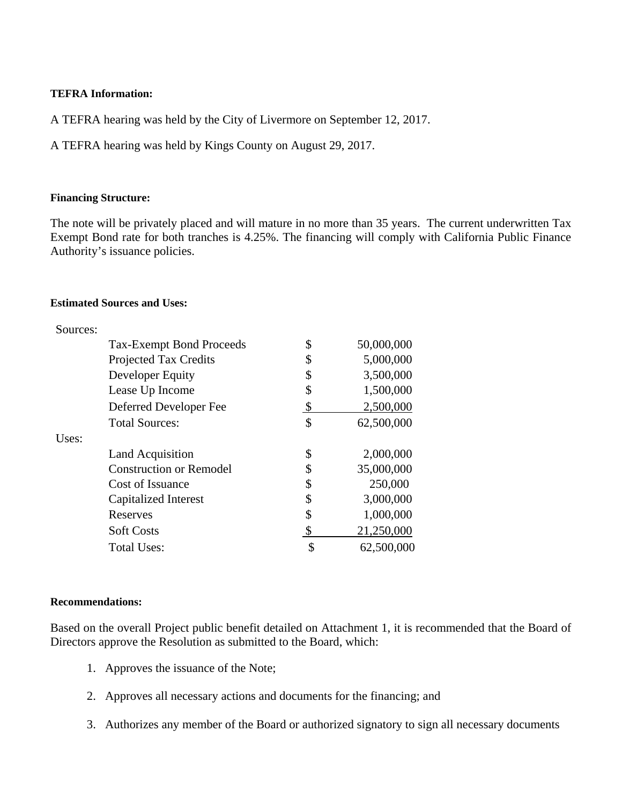#### **TEFRA Information:**

A TEFRA hearing was held by the City of Livermore on September 12, 2017.

A TEFRA hearing was held by Kings County on August 29, 2017.

#### **Financing Structure:**

The note will be privately placed and will mature in no more than 35 years. The current underwritten Tax Exempt Bond rate for both tranches is 4.25%. The financing will comply with California Public Finance Authority's issuance policies.

#### **Estimated Sources and Uses:**

| Sources: |                                 |                  |
|----------|---------------------------------|------------------|
|          | <b>Tax-Exempt Bond Proceeds</b> | \$<br>50,000,000 |
|          | <b>Projected Tax Credits</b>    | \$<br>5,000,000  |
|          | Developer Equity                | \$<br>3,500,000  |
|          | Lease Up Income                 | \$<br>1,500,000  |
|          | Deferred Developer Fee          | \$<br>2,500,000  |
|          | <b>Total Sources:</b>           | \$<br>62,500,000 |
| Uses:    |                                 |                  |
|          | <b>Land Acquisition</b>         | \$<br>2,000,000  |
|          | <b>Construction or Remodel</b>  | \$<br>35,000,000 |
|          | Cost of Issuance                | \$<br>250,000    |
|          | Capitalized Interest            | \$<br>3,000,000  |
|          | Reserves                        | \$<br>1,000,000  |
|          | <b>Soft Costs</b>               | 21,250,000       |
|          | <b>Total Uses:</b>              | \$<br>62,500,000 |

#### **Recommendations:**

Based on the overall Project public benefit detailed on Attachment 1, it is recommended that the Board of Directors approve the Resolution as submitted to the Board, which:

- 1. Approves the issuance of the Note;
- 2. Approves all necessary actions and documents for the financing; and
- 3. Authorizes any member of the Board or authorized signatory to sign all necessary documents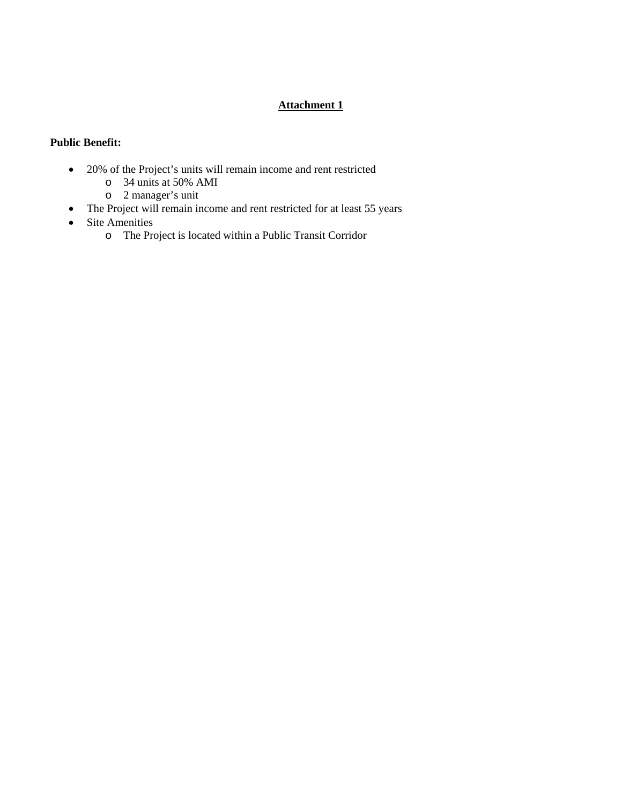#### **Attachment 1**

#### **Public Benefit:**

- 20% of the Project's units will remain income and rent restricted
	- o 34 units at 50% AMI
	- o 2 manager's unit
- The Project will remain income and rent restricted for at least 55 years
- Site Amenities
	- o The Project is located within a Public Transit Corridor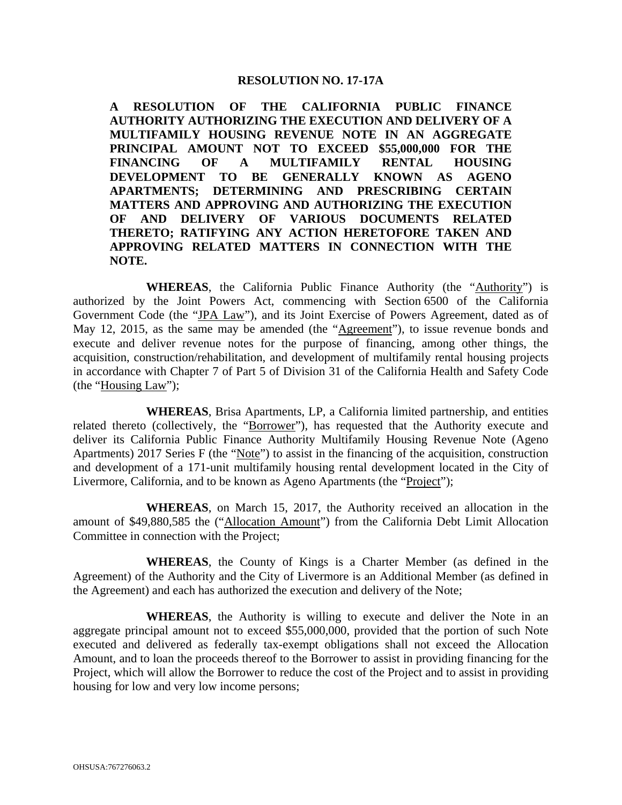#### **RESOLUTION NO. 17-17A**

**A RESOLUTION OF THE CALIFORNIA PUBLIC FINANCE AUTHORITY AUTHORIZING THE EXECUTION AND DELIVERY OF A MULTIFAMILY HOUSING REVENUE NOTE IN AN AGGREGATE PRINCIPAL AMOUNT NOT TO EXCEED \$55,000,000 FOR THE FINANCING OF A MULTIFAMILY RENTAL HOUSING DEVELOPMENT TO BE GENERALLY KNOWN AS AGENO APARTMENTS; DETERMINING AND PRESCRIBING CERTAIN MATTERS AND APPROVING AND AUTHORIZING THE EXECUTION OF AND DELIVERY OF VARIOUS DOCUMENTS RELATED THERETO; RATIFYING ANY ACTION HERETOFORE TAKEN AND APPROVING RELATED MATTERS IN CONNECTION WITH THE NOTE.** 

**WHEREAS**, the California Public Finance Authority (the "Authority") is authorized by the Joint Powers Act, commencing with Section 6500 of the California Government Code (the "JPA Law"), and its Joint Exercise of Powers Agreement, dated as of May 12, 2015, as the same may be amended (the "Agreement"), to issue revenue bonds and execute and deliver revenue notes for the purpose of financing, among other things, the acquisition, construction/rehabilitation, and development of multifamily rental housing projects in accordance with Chapter 7 of Part 5 of Division 31 of the California Health and Safety Code (the "Housing Law");

**WHEREAS**, Brisa Apartments, LP, a California limited partnership, and entities related thereto (collectively, the "Borrower"), has requested that the Authority execute and deliver its California Public Finance Authority Multifamily Housing Revenue Note (Ageno Apartments) 2017 Series F (the "Note") to assist in the financing of the acquisition, construction and development of a 171-unit multifamily housing rental development located in the City of Livermore, California, and to be known as Ageno Apartments (the "Project");

**WHEREAS**, on March 15, 2017, the Authority received an allocation in the amount of \$49,880,585 the ("Allocation Amount") from the California Debt Limit Allocation Committee in connection with the Project;

**WHEREAS**, the County of Kings is a Charter Member (as defined in the Agreement) of the Authority and the City of Livermore is an Additional Member (as defined in the Agreement) and each has authorized the execution and delivery of the Note;

**WHEREAS**, the Authority is willing to execute and deliver the Note in an aggregate principal amount not to exceed \$55,000,000, provided that the portion of such Note executed and delivered as federally tax-exempt obligations shall not exceed the Allocation Amount, and to loan the proceeds thereof to the Borrower to assist in providing financing for the Project, which will allow the Borrower to reduce the cost of the Project and to assist in providing housing for low and very low income persons;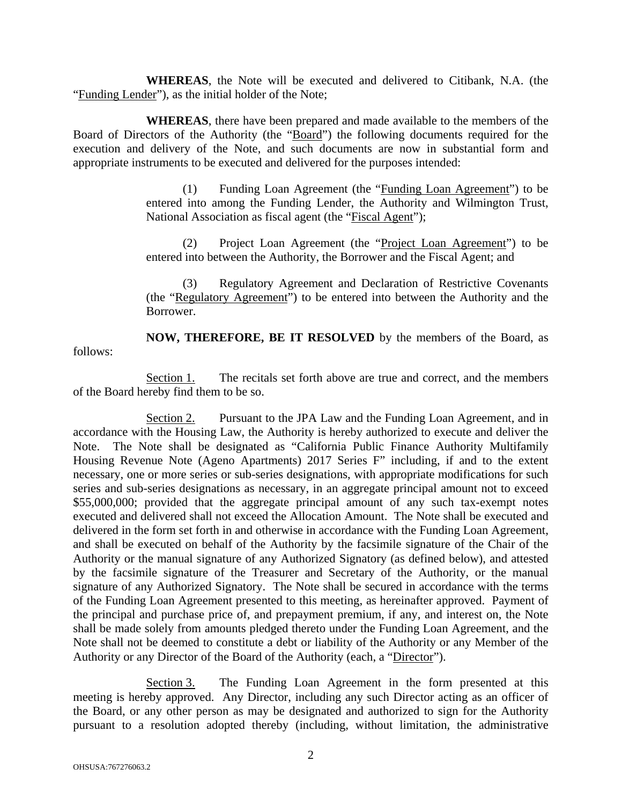**WHEREAS**, the Note will be executed and delivered to Citibank, N.A. (the "Funding Lender"), as the initial holder of the Note;

**WHEREAS**, there have been prepared and made available to the members of the Board of Directors of the Authority (the "Board") the following documents required for the execution and delivery of the Note, and such documents are now in substantial form and appropriate instruments to be executed and delivered for the purposes intended:

> (1) Funding Loan Agreement (the "Funding Loan Agreement") to be entered into among the Funding Lender, the Authority and Wilmington Trust, National Association as fiscal agent (the "Fiscal Agent");

> (2) Project Loan Agreement (the "Project Loan Agreement") to be entered into between the Authority, the Borrower and the Fiscal Agent; and

> (3) Regulatory Agreement and Declaration of Restrictive Covenants (the "Regulatory Agreement") to be entered into between the Authority and the Borrower.

**NOW, THEREFORE, BE IT RESOLVED** by the members of the Board, as follows:

Section 1. The recitals set forth above are true and correct, and the members of the Board hereby find them to be so.

Section 2. Pursuant to the JPA Law and the Funding Loan Agreement, and in accordance with the Housing Law, the Authority is hereby authorized to execute and deliver the Note. The Note shall be designated as "California Public Finance Authority Multifamily Housing Revenue Note (Ageno Apartments) 2017 Series F" including, if and to the extent necessary, one or more series or sub-series designations, with appropriate modifications for such series and sub-series designations as necessary, in an aggregate principal amount not to exceed \$55,000,000; provided that the aggregate principal amount of any such tax-exempt notes executed and delivered shall not exceed the Allocation Amount. The Note shall be executed and delivered in the form set forth in and otherwise in accordance with the Funding Loan Agreement, and shall be executed on behalf of the Authority by the facsimile signature of the Chair of the Authority or the manual signature of any Authorized Signatory (as defined below), and attested by the facsimile signature of the Treasurer and Secretary of the Authority, or the manual signature of any Authorized Signatory. The Note shall be secured in accordance with the terms of the Funding Loan Agreement presented to this meeting, as hereinafter approved. Payment of the principal and purchase price of, and prepayment premium, if any, and interest on, the Note shall be made solely from amounts pledged thereto under the Funding Loan Agreement, and the Note shall not be deemed to constitute a debt or liability of the Authority or any Member of the Authority or any Director of the Board of the Authority (each, a "Director").

Section 3. The Funding Loan Agreement in the form presented at this meeting is hereby approved. Any Director, including any such Director acting as an officer of the Board, or any other person as may be designated and authorized to sign for the Authority pursuant to a resolution adopted thereby (including, without limitation, the administrative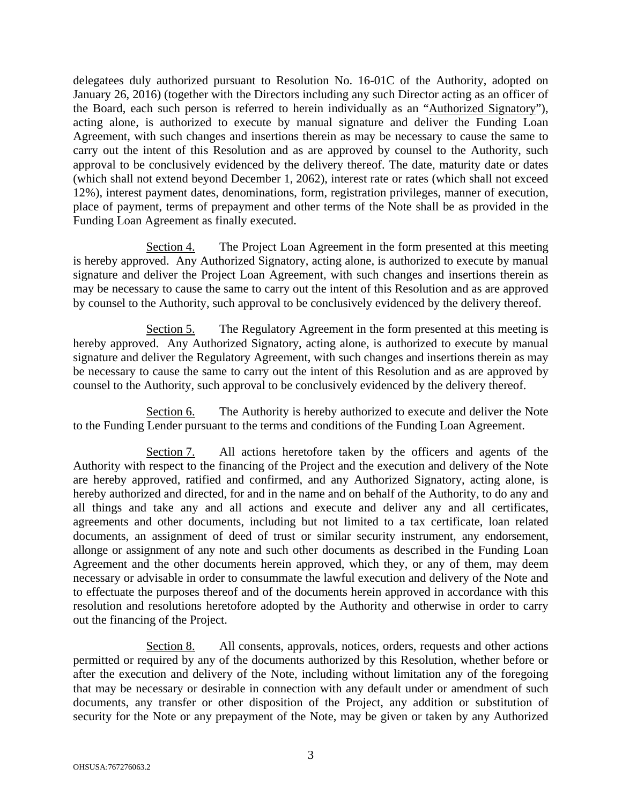delegatees duly authorized pursuant to Resolution No. 16-01C of the Authority, adopted on January 26, 2016) (together with the Directors including any such Director acting as an officer of the Board, each such person is referred to herein individually as an "Authorized Signatory"), acting alone, is authorized to execute by manual signature and deliver the Funding Loan Agreement, with such changes and insertions therein as may be necessary to cause the same to carry out the intent of this Resolution and as are approved by counsel to the Authority, such approval to be conclusively evidenced by the delivery thereof. The date, maturity date or dates (which shall not extend beyond December 1, 2062), interest rate or rates (which shall not exceed 12%), interest payment dates, denominations, form, registration privileges, manner of execution, place of payment, terms of prepayment and other terms of the Note shall be as provided in the Funding Loan Agreement as finally executed.

Section 4. The Project Loan Agreement in the form presented at this meeting is hereby approved. Any Authorized Signatory, acting alone, is authorized to execute by manual signature and deliver the Project Loan Agreement, with such changes and insertions therein as may be necessary to cause the same to carry out the intent of this Resolution and as are approved by counsel to the Authority, such approval to be conclusively evidenced by the delivery thereof.

Section 5. The Regulatory Agreement in the form presented at this meeting is hereby approved. Any Authorized Signatory, acting alone, is authorized to execute by manual signature and deliver the Regulatory Agreement, with such changes and insertions therein as may be necessary to cause the same to carry out the intent of this Resolution and as are approved by counsel to the Authority, such approval to be conclusively evidenced by the delivery thereof.

Section 6. The Authority is hereby authorized to execute and deliver the Note to the Funding Lender pursuant to the terms and conditions of the Funding Loan Agreement.

Section 7. All actions heretofore taken by the officers and agents of the Authority with respect to the financing of the Project and the execution and delivery of the Note are hereby approved, ratified and confirmed, and any Authorized Signatory, acting alone, is hereby authorized and directed, for and in the name and on behalf of the Authority, to do any and all things and take any and all actions and execute and deliver any and all certificates, agreements and other documents, including but not limited to a tax certificate, loan related documents, an assignment of deed of trust or similar security instrument, any endorsement, allonge or assignment of any note and such other documents as described in the Funding Loan Agreement and the other documents herein approved, which they, or any of them, may deem necessary or advisable in order to consummate the lawful execution and delivery of the Note and to effectuate the purposes thereof and of the documents herein approved in accordance with this resolution and resolutions heretofore adopted by the Authority and otherwise in order to carry out the financing of the Project.

Section 8. All consents, approvals, notices, orders, requests and other actions permitted or required by any of the documents authorized by this Resolution, whether before or after the execution and delivery of the Note, including without limitation any of the foregoing that may be necessary or desirable in connection with any default under or amendment of such documents, any transfer or other disposition of the Project, any addition or substitution of security for the Note or any prepayment of the Note, may be given or taken by any Authorized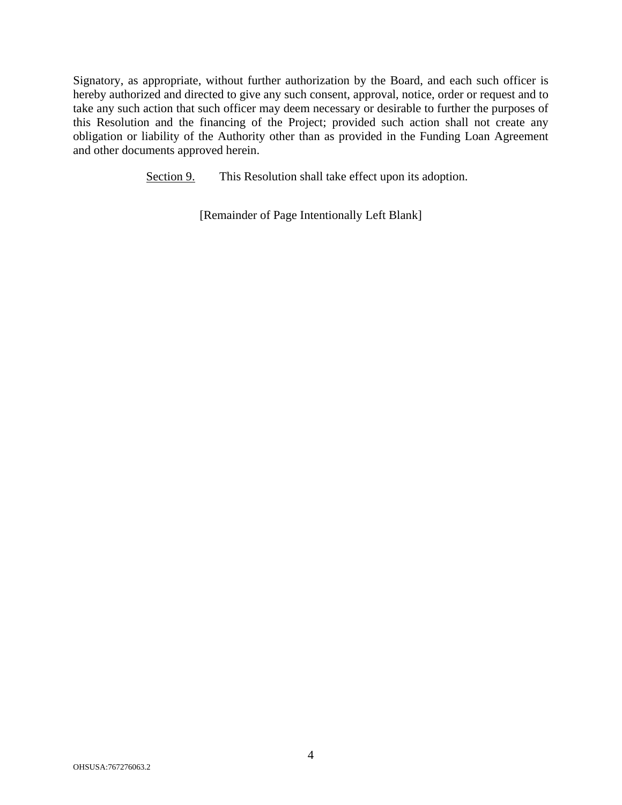Signatory, as appropriate, without further authorization by the Board, and each such officer is hereby authorized and directed to give any such consent, approval, notice, order or request and to take any such action that such officer may deem necessary or desirable to further the purposes of this Resolution and the financing of the Project; provided such action shall not create any obligation or liability of the Authority other than as provided in the Funding Loan Agreement and other documents approved herein.

Section 9. This Resolution shall take effect upon its adoption.

[Remainder of Page Intentionally Left Blank]